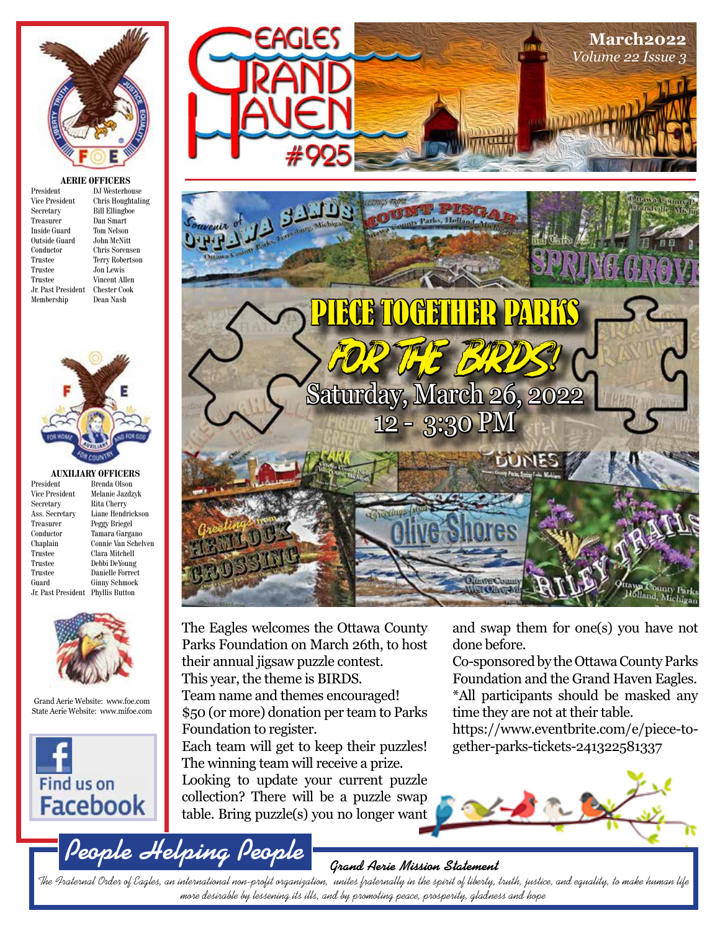

#### **AERIE OFFICERS**

| President           | DJ Westerhouse         |
|---------------------|------------------------|
| Vice President      | Chris Houghtaling      |
| Secretary           | <b>Bill Ellingboe</b>  |
| Treasurer           | Dan Smart              |
| <b>Inside Guard</b> | Tom Nelson             |
| Outside Guard       | John McNitt            |
| Conductor           | Chris Sorensen         |
| Trustee             | <b>Terry Robertson</b> |
| Trustee             | Jon Lewis              |
| Trustee             | Vincent Allen          |
| Jr. Past President  | Chester Cook           |
| Membership          | Dean Nash              |
|                     |                        |



## **AUXILIARY OFFICERS**<br>President Brenda Olson

President Brenda Olson<br>Vice President Melanie Jazdz Treasurer Peggy Briegel<br>Conductor Tamara Garga Trustee Clara Mitchell Trustee Debbi DeYoung Jr. Past President Phyllis Button

Vice President Melanie Jazdzyk<br>Secretary Rita Cherry Rita Cherry Ass. Secretary Liane Hendrickson Conductor Tamara Gargano Connie Van Schelven Trustee Danielle Forrect<br>Guard Ginny Schmock **Ginny Schmock** 



#### Grand Aerie Website: www.foe.com State Aerie Website: www.mifoe.com



**People Helping People**





The Eagles welcomes the Ottawa County Parks Foundation on March 26th, to host their annual jigsaw puzzle contest. This year, the theme is BIRDS. Team name and themes encouraged! \$50 (or more) donation per team to Parks Foundation to register. Each team will get to keep their puzzles!

The winning team will receive a prize. Looking to update your current puzzle collection? There will be a puzzle swap table. Bring puzzle(s) you no longer want

and swap them for one(s) you have not done before.

Co-sponsored by the Ottawa County Parks Foundation and the Grand Haven Eagles. \*All participants should be masked any time they are not at their table.

https://www.eventbrite.com/e/piece-together-parks-tickets-241322581337



#### **Grand Aerie Mission Statement**

The Fraternal Order of Eagles, an international non-profit organization, unites fraternally in the spirit of liberty, truth, justice, and equality, to make human life more desirable by lessening its ills, and by promoting peace, prosperity, gladness and hope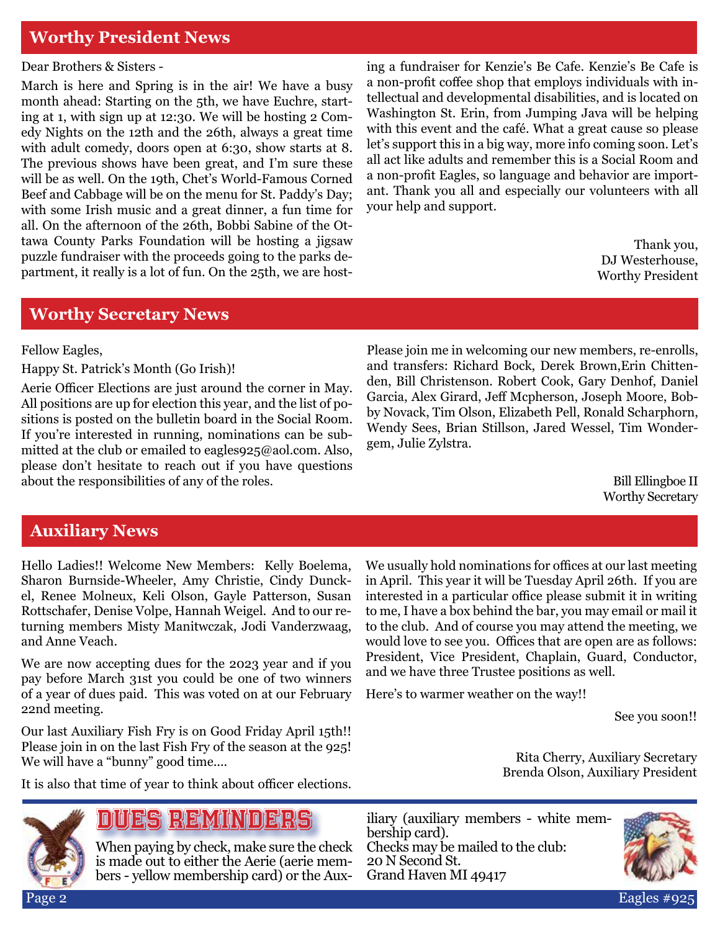## **Worthy President News**

Dear Brothers & Sisters -

March is here and Spring is in the air! We have a busy month ahead: Starting on the 5th, we have Euchre, starting at 1, with sign up at 12:30. We will be hosting 2 Comedy Nights on the 12th and the 26th, always a great time with adult comedy, doors open at 6:30, show starts at 8. The previous shows have been great, and I'm sure these will be as well. On the 19th, Chet's World-Famous Corned Beef and Cabbage will be on the menu for St. Paddy's Day; with some Irish music and a great dinner, a fun time for all. On the afternoon of the 26th, Bobbi Sabine of the Ottawa County Parks Foundation will be hosting a jigsaw puzzle fundraiser with the proceeds going to the parks department, it really is a lot of fun. On the 25th, we are host-

ing a fundraiser for Kenzie's Be Cafe. Kenzie's Be Cafe is a non-profit coffee shop that employs individuals with intellectual and developmental disabilities, and is located on Washington St. Erin, from Jumping Java will be helping with this event and the café. What a great cause so please let's support this in a big way, more info coming soon. Let's all act like adults and remember this is a Social Room and a non-profit Eagles, so language and behavior are important. Thank you all and especially our volunteers with all your help and support.

> Thank you, DJ Westerhouse, Worthy President

#### **Worthy Secretary News**

Fellow Eagles,

Happy St. Patrick's Month (Go Irish)!

Aerie Officer Elections are just around the corner in May. All positions are up for election this year, and the list of positions is posted on the bulletin board in the Social Room. If you're interested in running, nominations can be submitted at the club or emailed to eagles925@aol.com. Also, please don't hesitate to reach out if you have questions about the responsibilities of any of the roles.

Please join me in welcoming our new members, re-enrolls, and transfers: Richard Bock, Derek Brown,Erin Chittenden, Bill Christenson. Robert Cook, Gary Denhof, Daniel Garcia, Alex Girard, Jeff Mcpherson, Joseph Moore, Bobby Novack, Tim Olson, Elizabeth Pell, Ronald Scharphorn, Wendy Sees, Brian Stillson, Jared Wessel, Tim Wondergem, Julie Zylstra.

> Bill Ellingboe II Worthy Secretary

### **Auxiliary News**

Hello Ladies!! Welcome New Members: Kelly Boelema, Sharon Burnside-Wheeler, Amy Christie, Cindy Dunckel, Renee Molneux, Keli Olson, Gayle Patterson, Susan Rottschafer, Denise Volpe, Hannah Weigel. And to our returning members Misty Manitwczak, Jodi Vanderzwaag, and Anne Veach.

We are now accepting dues for the 2023 year and if you pay before March 31st you could be one of two winners of a year of dues paid. This was voted on at our February 22nd meeting.

Our last Auxiliary Fish Fry is on Good Friday April 15th!! Please join in on the last Fish Fry of the season at the 925! We will have a "bunny" good time....

It is also that time of year to think about officer elections.

Page 2 Eagles #925

# Dues Reminders

When paying by check, make sure the check is made out to either the Aerie (aerie members - yellow membership card) or the AuxWe usually hold nominations for offices at our last meeting in April. This year it will be Tuesday April 26th. If you are interested in a particular office please submit it in writing to me, I have a box behind the bar, you may email or mail it to the club. And of course you may attend the meeting, we would love to see you. Offices that are open are as follows: President, Vice President, Chaplain, Guard, Conductor, and we have three Trustee positions as well.

Here's to warmer weather on the way!!

See you soon!!

Rita Cherry, Auxiliary Secretary Brenda Olson, Auxiliary President

iliary (auxiliary members - white membership card). Checks may be mailed to the club: 20 N Second St. Grand Haven MI 49417

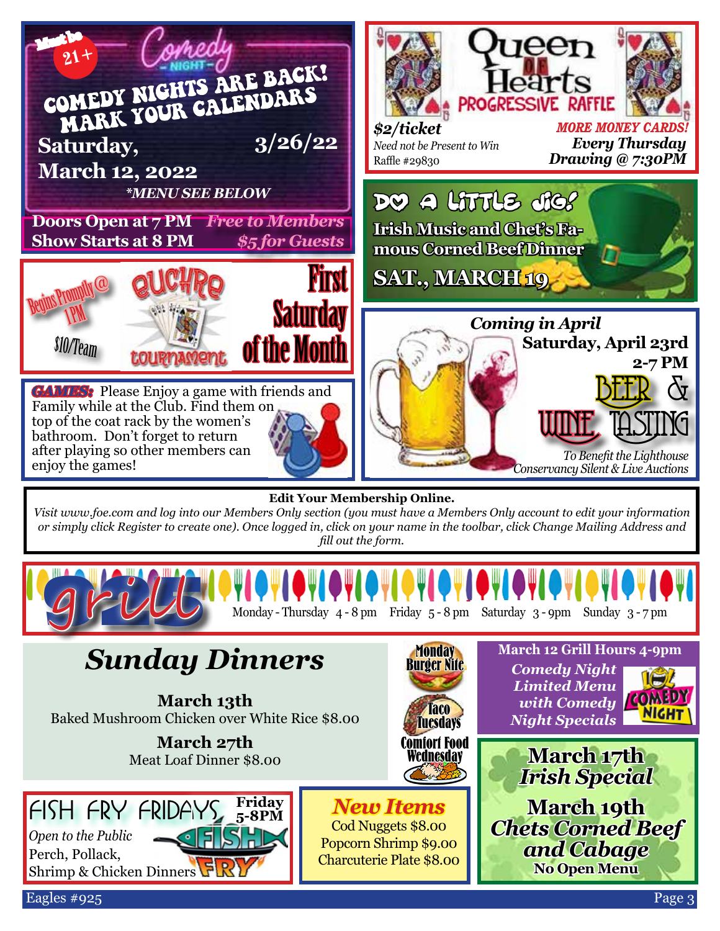